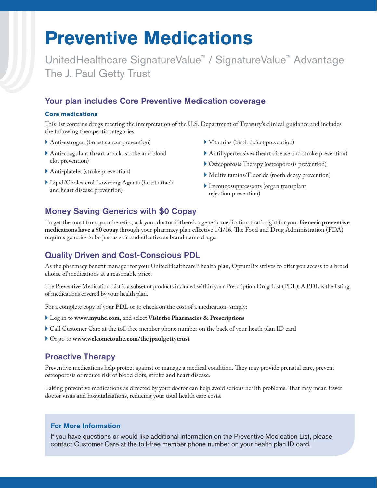# **Preventive Medications**

UnitedHealthcare SignatureValue™ / SignatureValue™ Advantage The J. Paul Getty Trust

# Your plan includes Core Preventive Medication coverage

#### **Core medications**

This list contains drugs meeting the interpretation of the U.S. Department of Treasury's clinical guidance and includes the following therapeutic categories:

- Anti-estrogen (breast cancer prevention)
- Anti-coagulant (heart attack, stroke and blood clot prevention)
- Anti-platelet (stroke prevention)
- Lipid/Cholesterol Lowering Agents (heart attack and heart disease prevention)
- Vitamins (birth defect prevention)
- Antihypertensives (heart disease and stroke prevention)
- Osteoporosis Therapy (osteoporosis prevention)
- Multivitamins/Fluoride (tooth decay prevention)
- Immunosuppressants (organ transplant rejection prevention)

# Money Saving Generics with \$0 Copay

To get the most from your benefits, ask your doctor if there's a generic medication that's right for you. **Generic preventive medications have a \$0 copay** through your pharmacy plan effective 1/1/16. The Food and Drug Administration (FDA) requires generics to be just as safe and effective as brand name drugs.

# Quality Driven and Cost-Conscious PDL

As the pharmacy benefit manager for your UnitedHealthcare® health plan, OptumRx strives to offer you access to a broad choice of medications at a reasonable price.

The Preventive Medication List is a subset of products included within your Prescription Drug List (PDL). A PDL is the listing of medications covered by your health plan.

For a complete copy of your PDL or to check on the cost of a medication, simply:

- Log in to **www.myuhc.com**, and select **Visit the Pharmacies & Prescriptions**
- Call Customer Care at the toll-free member phone number on the back of your heath plan ID card
- Or go to **www.welcometouhc.com/the jpaulgettytrust**

## Proactive Therapy

Preventive medications help protect against or manage a medical condition. They may provide prenatal care, prevent osteoporosis or reduce risk of blood clots, stroke and heart disease.

Taking preventive medications as directed by your doctor can help avoid serious health problems. That may mean fewer doctor visits and hospitalizations, reducing your total health care costs.

## **For More Information**

If you have questions or would like additional information on the Preventive Medication List, please contact Customer Care at the toll-free member phone number on your health plan ID card.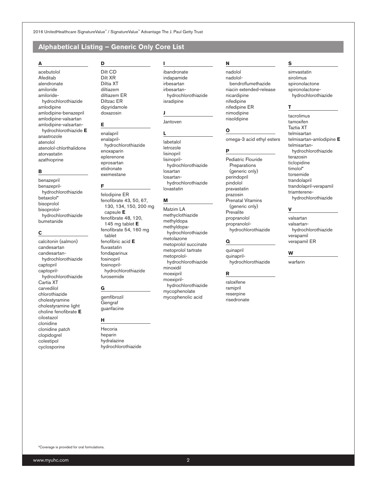2016 UnitedHealthcare SignatureValue" / SignatureValue" Advantage The J. Paul Getty Trust

### Alphabetical Listing - Generic Only Core List

D

#### A

acebutolol Afeditab alendronate amiloride amiloridehydrochlorothiazide amlodipine amlodipine-benazepril amlodipine-valsartan amlodipine-valsartanhydrochlorothiazide E anastrozole atenolol atenolol-chlorthalidone atorvastatin azathioprine

#### В

benazepril benazeprilhydrochlorothiazide betaxolol\* bisoprolol bisoprololhydrochlorothiazide bumetanide

#### $\mathbf c$

calcitonin (salmon) candesartan candesartanhydrochlorothiazide captopril captoprilhydrochlorothiazide Cartia XT carvedilol chlorothiazide cholestyramine cholestyramine light choline fenofibrate E cilostazol clonidine clonidine patch clopidogrel colestipol cyclosporine

#### Dilt CD Dilt XR Diltia XT diltiazem diltiazem ER **Diltzac ER** dipyridamole

doxazosin

E

enalapril enalaprilhydrochlorothiazide enoxaparin eplerenone eprosartan etidronate exemestane

#### F

felodipine ER fenofibrate 43, 50, 67, 130, 134, 150, 200 mg capsule E fenofibrate 48, 120, 145 mg tablet  $E$ fenofibrate 54, 160 mg tablet fenofibric acid  $\boldsymbol{\mathsf{E}}$ fluvastatin fondaparinux fosinopril fosinoprilhydrochlorothiazide furosemide

#### G

gemfibrozil Gengraf guanfacine

#### н

Hecoria heparin hydralazine hydrochlorothiazide ibandronate indapamide irbesartan irbesartanhydrochlorothiazide isradipine

#### J

L

Jantoven

labetalol letrozole lisinopril lisinoprilhydrochlorothiazide losartan losartanhydrochlorothiazide lovastatin

#### M

Matzim LA methyclothiazide methyldopa methyldopahydrochlorothiazide metolazone metoprolol succinate metoprolol tartrate metoprololhydrochlorothiazide minoxidil moexipril moexiprilhydrochlorothiazide mycophenolate mycophenolic acid

#### N

nadolol nadololbendroflumethazide niacin extended-release nicardipine nifedipine nifedipine ER nimodipine nisoldipine

#### $\mathbf{o}$

omega-3 acid ethyl esters

#### P

Pediatric Flouride Preparations (generic only) perindopril pindolol pravastatin prazosin Prenatal Vitamins (generic only) Prevalite propranolol propranololhydrochlorothiazide

#### Q

quinapril quinaprilhydrochlorothiazide

#### R

raloxifene ramipril reserpine risedronate

#### S

simvastatin sirolimus spironolactone spironolactonehydrochlorothiazide

#### T

tacrolimus tamoxifen Taztia XT telmisartan telmisartan-amlodipine E telmisartanhydrochlorothiazide terazosin ticlopidine timolol\* torsemide trandolapril trandolapril-verapamil triamterenehydrochlorothiazide

#### $\mathbf v$

valsartan valsartanhydrochlorothiazide verapamil verapamil ER

#### W

warfarin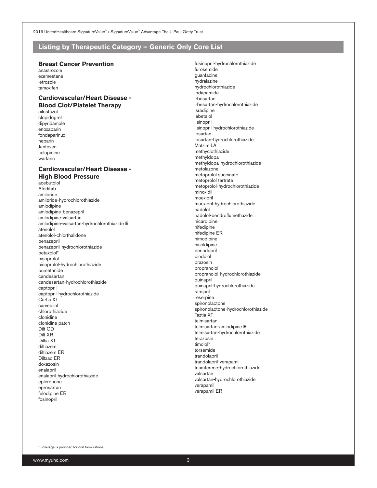2016 UnitedHealthcare SignatureValue" / SignatureValue" Advantage The J. Paul Getty Trust

#### Listing by Therapeutic Category - Generic Only Core List

#### **Breast Cancer Prevention**

anastrozole exemestane letrozole tamoxifen

#### **Cardiovascular/Heart Disease -Blood Clot/Platelet Therapy**

cilostazol clopidogrel dipyridamole enoxaparin fondaparinux heparin Jantoven ticlopidine warfarin

#### **Cardiovascular/Heart Disease -High Blood Pressure**

acebutolol Afeditab amiloride amiloride-hydrochlorothiazide amlodipine amlodipine-benazepril amlodipine-valsartan amlodipine-valsartan-hydrochlorothiazide E atenolol atenolol-chlorthalidone benazepril benazepril-hydrochlorothiazide betaxolol\* bisoprolol bisoprolol-hydrochlorothiazide bumetanide candesartan candesartan-hydrochlorothiazide captopril captopril-hydrochlorothiazide Cartia XT carvedilol chlorothiazide clonidine clonidine patch Dilt CD Dilt XR Diltia XT diltiazem diltiazem ER Diltzac ER doxazosin enalapril enalapril-hydrochlorothiazide eplerenone eprosartan felodipine ER fosinopril

fosinopril-hydrochlorothiazide furosemide quanfacine hydralazine hydrochlorothiazide indapamide irbesartan irbesartan-hydrochlorothiazide isradipine labetalol lisinopril lisinopril-hydrochlorothiazide losartan losartan-hydrochlorothiazide Matzim LA methyclothiazide methyldopa methyldopa-hydrochlorothiazide metolazone metoprolol succinate metoprolol tartrate metoprolol-hydrochlorothiazide minoxidil moexipril moexipril-hydrochlorothiazide nadolol nadolol-bendroflumethazide nicardipine nifedipine nifedipine ER nimodipine nisoldipine perindopril pindolol prazosin propranolol propranolol-hydrochlorothiazide quinapril quinapril-hydrochlorothiazide ramipril reserpine spironolactone spironolactone-hydrochlorothiazide Taztia XT telmisartan telmisartan-amlodipine E telmisartan-hydrochlorothiazide terazosin timolol\* torsemide trandolapril trandolapril-verapamil triamterene-hydrochlorothiazide valsartan valsartan-hydrochlorothiazide verapamil verapamil ER